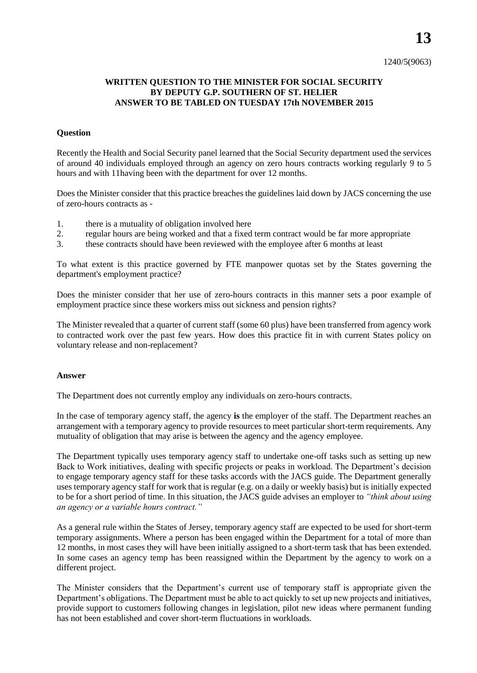**13**

## **WRITTEN QUESTION TO THE MINISTER FOR SOCIAL SECURITY BY DEPUTY G.P. SOUTHERN OF ST. HELIER ANSWER TO BE TABLED ON TUESDAY 17th NOVEMBER 2015**

## **Question**

Recently the Health and Social Security panel learned that the Social Security department used the services of around 40 individuals employed through an agency on zero hours contracts working regularly 9 to 5 hours and with 11having been with the department for over 12 months.

Does the Minister consider that this practice breaches the guidelines laid down by JACS concerning the use of zero-hours contracts as -

- 1. there is a mutuality of obligation involved here
- 2. regular hours are being worked and that a fixed term contract would be far more appropriate
- 3. these contracts should have been reviewed with the employee after 6 months at least

To what extent is this practice governed by FTE manpower quotas set by the States governing the department's employment practice?

Does the minister consider that her use of zero-hours contracts in this manner sets a poor example of employment practice since these workers miss out sickness and pension rights?

The Minister revealed that a quarter of current staff (some 60 plus) have been transferred from agency work to contracted work over the past few years. How does this practice fit in with current States policy on voluntary release and non-replacement?

## **Answer**

The Department does not currently employ any individuals on zero-hours contracts.

In the case of temporary agency staff, the agency **is** the employer of the staff. The Department reaches an arrangement with a temporary agency to provide resources to meet particular short-term requirements. Any mutuality of obligation that may arise is between the agency and the agency employee.

The Department typically uses temporary agency staff to undertake one-off tasks such as setting up new Back to Work initiatives, dealing with specific projects or peaks in workload. The Department's decision to engage temporary agency staff for these tasks accords with the JACS guide. The Department generally uses temporary agency staff for work that is regular (e.g. on a daily or weekly basis) but is initially expected to be for a short period of time. In this situation, the JACS guide advises an employer to *"think about using an agency or a variable hours contract."* 

As a general rule within the States of Jersey, temporary agency staff are expected to be used for short-term temporary assignments. Where a person has been engaged within the Department for a total of more than 12 months, in most cases they will have been initially assigned to a short-term task that has been extended. In some cases an agency temp has been reassigned within the Department by the agency to work on a different project.

The Minister considers that the Department's current use of temporary staff is appropriate given the Department's obligations. The Department must be able to act quickly to set up new projects and initiatives, provide support to customers following changes in legislation, pilot new ideas where permanent funding has not been established and cover short-term fluctuations in workloads.